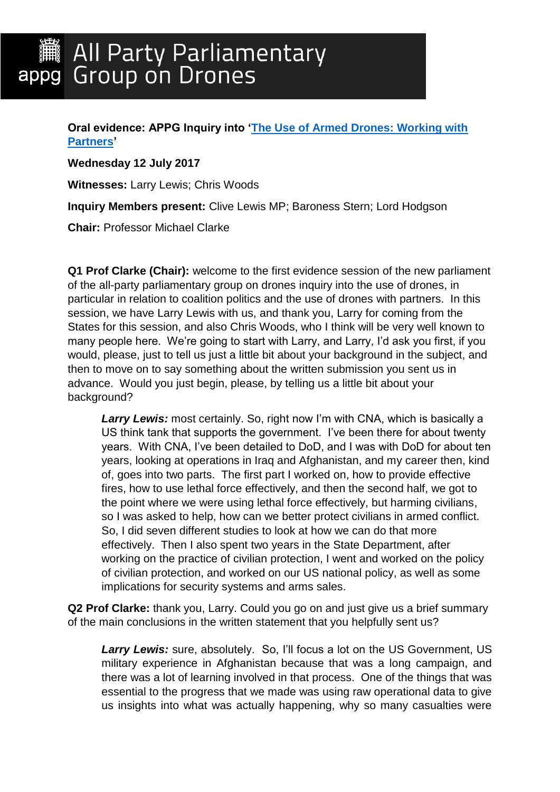**Oral evidence: APPG Inquiry into ['The Use of Armed Drones: Working with](http://appgdrones.org.uk/appg-inquiry-into-the-use-of-armed-drones-working-with-partners/)  [Partners'](http://appgdrones.org.uk/appg-inquiry-into-the-use-of-armed-drones-working-with-partners/)**

**Wednesday 12 July 2017**

**Witnesses:** Larry Lewis; Chris Woods

**Inquiry Members present:** Clive Lewis MP; Baroness Stern; Lord Hodgson

**Chair:** Professor Michael Clarke

**Q1 Prof Clarke (Chair):** welcome to the first evidence session of the new parliament of the all-party parliamentary group on drones inquiry into the use of drones, in particular in relation to coalition politics and the use of drones with partners. In this session, we have Larry Lewis with us, and thank you, Larry for coming from the States for this session, and also Chris Woods, who I think will be very well known to many people here. We're going to start with Larry, and Larry, I'd ask you first, if you would, please, just to tell us just a little bit about your background in the subject, and then to move on to say something about the written submission you sent us in advance. Would you just begin, please, by telling us a little bit about your background?

**Larry Lewis:** most certainly. So, right now I'm with CNA, which is basically a US think tank that supports the government. I've been there for about twenty years. With CNA, I've been detailed to DoD, and I was with DoD for about ten years, looking at operations in Iraq and Afghanistan, and my career then, kind of, goes into two parts. The first part I worked on, how to provide effective fires, how to use lethal force effectively, and then the second half, we got to the point where we were using lethal force effectively, but harming civilians, so I was asked to help, how can we better protect civilians in armed conflict. So, I did seven different studies to look at how we can do that more effectively. Then I also spent two years in the State Department, after working on the practice of civilian protection, I went and worked on the policy of civilian protection, and worked on our US national policy, as well as some implications for security systems and arms sales.

**Q2 Prof Clarke:** thank you, Larry. Could you go on and just give us a brief summary of the main conclusions in the written statement that you helpfully sent us?

*Larry Lewis:* sure, absolutely. So, I'll focus a lot on the US Government, US military experience in Afghanistan because that was a long campaign, and there was a lot of learning involved in that process. One of the things that was essential to the progress that we made was using raw operational data to give us insights into what was actually happening, why so many casualties were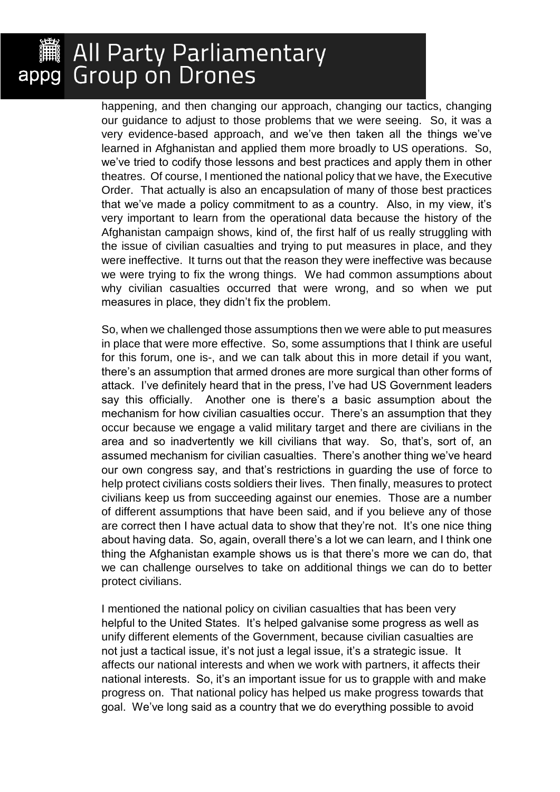happening, and then changing our approach, changing our tactics, changing our guidance to adjust to those problems that we were seeing. So, it was a very evidence-based approach, and we've then taken all the things we've learned in Afghanistan and applied them more broadly to US operations. So, we've tried to codify those lessons and best practices and apply them in other theatres. Of course, I mentioned the national policy that we have, the Executive Order. That actually is also an encapsulation of many of those best practices that we've made a policy commitment to as a country. Also, in my view, it's very important to learn from the operational data because the history of the Afghanistan campaign shows, kind of, the first half of us really struggling with the issue of civilian casualties and trying to put measures in place, and they were ineffective. It turns out that the reason they were ineffective was because we were trying to fix the wrong things. We had common assumptions about why civilian casualties occurred that were wrong, and so when we put measures in place, they didn't fix the problem.

So, when we challenged those assumptions then we were able to put measures in place that were more effective. So, some assumptions that I think are useful for this forum, one is-, and we can talk about this in more detail if you want, there's an assumption that armed drones are more surgical than other forms of attack. I've definitely heard that in the press, I've had US Government leaders say this officially. Another one is there's a basic assumption about the mechanism for how civilian casualties occur. There's an assumption that they occur because we engage a valid military target and there are civilians in the area and so inadvertently we kill civilians that way. So, that's, sort of, an assumed mechanism for civilian casualties. There's another thing we've heard our own congress say, and that's restrictions in guarding the use of force to help protect civilians costs soldiers their lives. Then finally, measures to protect civilians keep us from succeeding against our enemies. Those are a number of different assumptions that have been said, and if you believe any of those are correct then I have actual data to show that they're not. It's one nice thing about having data. So, again, overall there's a lot we can learn, and I think one thing the Afghanistan example shows us is that there's more we can do, that we can challenge ourselves to take on additional things we can do to better protect civilians.

I mentioned the national policy on civilian casualties that has been very helpful to the United States. It's helped galvanise some progress as well as unify different elements of the Government, because civilian casualties are not just a tactical issue, it's not just a legal issue, it's a strategic issue. It affects our national interests and when we work with partners, it affects their national interests. So, it's an important issue for us to grapple with and make progress on. That national policy has helped us make progress towards that goal. We've long said as a country that we do everything possible to avoid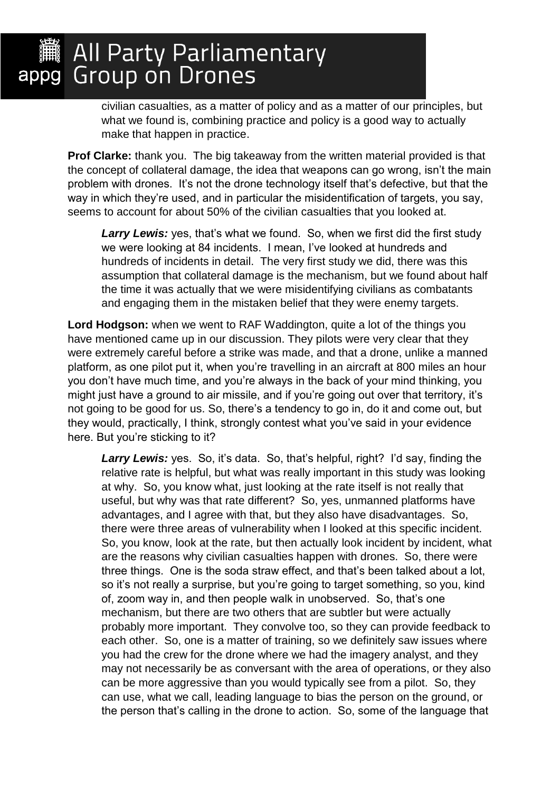civilian casualties, as a matter of policy and as a matter of our principles, but what we found is, combining practice and policy is a good way to actually make that happen in practice.

**Prof Clarke:** thank you. The big takeaway from the written material provided is that the concept of collateral damage, the idea that weapons can go wrong, isn't the main problem with drones. It's not the drone technology itself that's defective, but that the way in which they're used, and in particular the misidentification of targets, you say, seems to account for about 50% of the civilian casualties that you looked at.

Larry Lewis: yes, that's what we found. So, when we first did the first study we were looking at 84 incidents. I mean, I've looked at hundreds and hundreds of incidents in detail. The very first study we did, there was this assumption that collateral damage is the mechanism, but we found about half the time it was actually that we were misidentifying civilians as combatants and engaging them in the mistaken belief that they were enemy targets.

**Lord Hodgson:** when we went to RAF Waddington, quite a lot of the things you have mentioned came up in our discussion. They pilots were very clear that they were extremely careful before a strike was made, and that a drone, unlike a manned platform, as one pilot put it, when you're travelling in an aircraft at 800 miles an hour you don't have much time, and you're always in the back of your mind thinking, you might just have a ground to air missile, and if you're going out over that territory, it's not going to be good for us. So, there's a tendency to go in, do it and come out, but they would, practically, I think, strongly contest what you've said in your evidence here. But you're sticking to it?

Larry Lewis: yes. So, it's data. So, that's helpful, right? I'd say, finding the relative rate is helpful, but what was really important in this study was looking at why. So, you know what, just looking at the rate itself is not really that useful, but why was that rate different? So, yes, unmanned platforms have advantages, and I agree with that, but they also have disadvantages. So, there were three areas of vulnerability when I looked at this specific incident. So, you know, look at the rate, but then actually look incident by incident, what are the reasons why civilian casualties happen with drones. So, there were three things. One is the soda straw effect, and that's been talked about a lot, so it's not really a surprise, but you're going to target something, so you, kind of, zoom way in, and then people walk in unobserved. So, that's one mechanism, but there are two others that are subtler but were actually probably more important. They convolve too, so they can provide feedback to each other. So, one is a matter of training, so we definitely saw issues where you had the crew for the drone where we had the imagery analyst, and they may not necessarily be as conversant with the area of operations, or they also can be more aggressive than you would typically see from a pilot. So, they can use, what we call, leading language to bias the person on the ground, or the person that's calling in the drone to action. So, some of the language that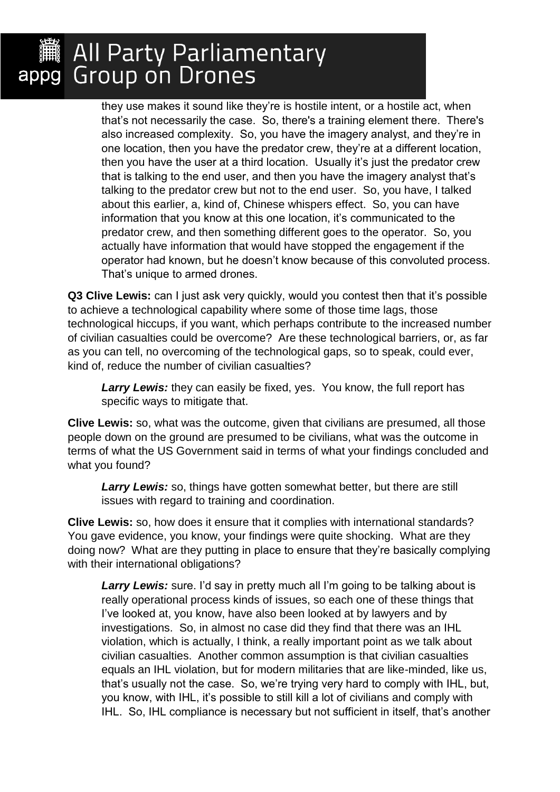they use makes it sound like they're is hostile intent, or a hostile act, when that's not necessarily the case. So, there's a training element there. There's also increased complexity. So, you have the imagery analyst, and they're in one location, then you have the predator crew, they're at a different location, then you have the user at a third location. Usually it's just the predator crew that is talking to the end user, and then you have the imagery analyst that's talking to the predator crew but not to the end user. So, you have, I talked about this earlier, a, kind of, Chinese whispers effect. So, you can have information that you know at this one location, it's communicated to the predator crew, and then something different goes to the operator. So, you actually have information that would have stopped the engagement if the operator had known, but he doesn't know because of this convoluted process. That's unique to armed drones.

**Q3 Clive Lewis:** can I just ask very quickly, would you contest then that it's possible to achieve a technological capability where some of those time lags, those technological hiccups, if you want, which perhaps contribute to the increased number of civilian casualties could be overcome? Are these technological barriers, or, as far as you can tell, no overcoming of the technological gaps, so to speak, could ever, kind of, reduce the number of civilian casualties?

*Larry Lewis:* they can easily be fixed, yes. You know, the full report has specific ways to mitigate that.

**Clive Lewis:** so, what was the outcome, given that civilians are presumed, all those people down on the ground are presumed to be civilians, what was the outcome in terms of what the US Government said in terms of what your findings concluded and what you found?

**Larry Lewis:** so, things have gotten somewhat better, but there are still issues with regard to training and coordination.

**Clive Lewis:** so, how does it ensure that it complies with international standards? You gave evidence, you know, your findings were quite shocking. What are they doing now? What are they putting in place to ensure that they're basically complying with their international obligations?

Larry Lewis: sure. I'd say in pretty much all I'm going to be talking about is really operational process kinds of issues, so each one of these things that I've looked at, you know, have also been looked at by lawyers and by investigations. So, in almost no case did they find that there was an IHL violation, which is actually, I think, a really important point as we talk about civilian casualties. Another common assumption is that civilian casualties equals an IHL violation, but for modern militaries that are like-minded, like us, that's usually not the case. So, we're trying very hard to comply with IHL, but, you know, with IHL, it's possible to still kill a lot of civilians and comply with IHL. So, IHL compliance is necessary but not sufficient in itself, that's another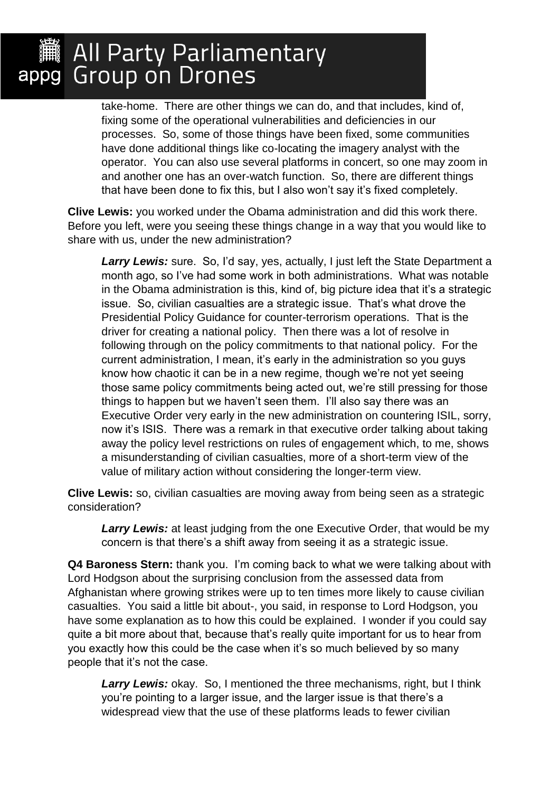take-home. There are other things we can do, and that includes, kind of, fixing some of the operational vulnerabilities and deficiencies in our processes. So, some of those things have been fixed, some communities have done additional things like co-locating the imagery analyst with the operator. You can also use several platforms in concert, so one may zoom in and another one has an over-watch function. So, there are different things that have been done to fix this, but I also won't say it's fixed completely.

**Clive Lewis:** you worked under the Obama administration and did this work there. Before you left, were you seeing these things change in a way that you would like to share with us, under the new administration?

*Larry Lewis:* sure. So, I'd say, yes, actually, I just left the State Department a month ago, so I've had some work in both administrations. What was notable in the Obama administration is this, kind of, big picture idea that it's a strategic issue. So, civilian casualties are a strategic issue. That's what drove the Presidential Policy Guidance for counter-terrorism operations. That is the driver for creating a national policy. Then there was a lot of resolve in following through on the policy commitments to that national policy. For the current administration, I mean, it's early in the administration so you guys know how chaotic it can be in a new regime, though we're not yet seeing those same policy commitments being acted out, we're still pressing for those things to happen but we haven't seen them. I'll also say there was an Executive Order very early in the new administration on countering ISIL, sorry, now it's ISIS. There was a remark in that executive order talking about taking away the policy level restrictions on rules of engagement which, to me, shows a misunderstanding of civilian casualties, more of a short-term view of the value of military action without considering the longer-term view.

**Clive Lewis:** so, civilian casualties are moving away from being seen as a strategic consideration?

**Larry Lewis:** at least judging from the one Executive Order, that would be my concern is that there's a shift away from seeing it as a strategic issue.

**Q4 Baroness Stern:** thank you. I'm coming back to what we were talking about with Lord Hodgson about the surprising conclusion from the assessed data from Afghanistan where growing strikes were up to ten times more likely to cause civilian casualties. You said a little bit about-, you said, in response to Lord Hodgson, you have some explanation as to how this could be explained. I wonder if you could say quite a bit more about that, because that's really quite important for us to hear from you exactly how this could be the case when it's so much believed by so many people that it's not the case.

Larry Lewis: okay. So, I mentioned the three mechanisms, right, but I think you're pointing to a larger issue, and the larger issue is that there's a widespread view that the use of these platforms leads to fewer civilian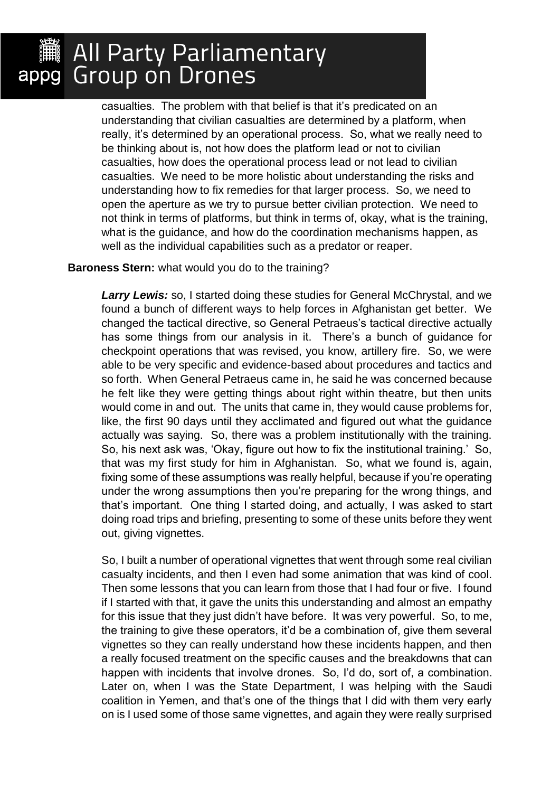casualties. The problem with that belief is that it's predicated on an understanding that civilian casualties are determined by a platform, when really, it's determined by an operational process. So, what we really need to be thinking about is, not how does the platform lead or not to civilian casualties, how does the operational process lead or not lead to civilian casualties. We need to be more holistic about understanding the risks and understanding how to fix remedies for that larger process. So, we need to open the aperture as we try to pursue better civilian protection. We need to not think in terms of platforms, but think in terms of, okay, what is the training, what is the guidance, and how do the coordination mechanisms happen, as well as the individual capabilities such as a predator or reaper.

#### **Baroness Stern:** what would you do to the training?

*Larry Lewis:* so, I started doing these studies for General McChrystal, and we found a bunch of different ways to help forces in Afghanistan get better. We changed the tactical directive, so General Petraeus's tactical directive actually has some things from our analysis in it. There's a bunch of guidance for checkpoint operations that was revised, you know, artillery fire. So, we were able to be very specific and evidence-based about procedures and tactics and so forth. When General Petraeus came in, he said he was concerned because he felt like they were getting things about right within theatre, but then units would come in and out. The units that came in, they would cause problems for, like, the first 90 days until they acclimated and figured out what the guidance actually was saying. So, there was a problem institutionally with the training. So, his next ask was, 'Okay, figure out how to fix the institutional training.' So, that was my first study for him in Afghanistan. So, what we found is, again, fixing some of these assumptions was really helpful, because if you're operating under the wrong assumptions then you're preparing for the wrong things, and that's important. One thing I started doing, and actually, I was asked to start doing road trips and briefing, presenting to some of these units before they went out, giving vignettes.

So, I built a number of operational vignettes that went through some real civilian casualty incidents, and then I even had some animation that was kind of cool. Then some lessons that you can learn from those that I had four or five. I found if I started with that, it gave the units this understanding and almost an empathy for this issue that they just didn't have before. It was very powerful. So, to me, the training to give these operators, it'd be a combination of, give them several vignettes so they can really understand how these incidents happen, and then a really focused treatment on the specific causes and the breakdowns that can happen with incidents that involve drones. So, I'd do, sort of, a combination. Later on, when I was the State Department, I was helping with the Saudi coalition in Yemen, and that's one of the things that I did with them very early on is I used some of those same vignettes, and again they were really surprised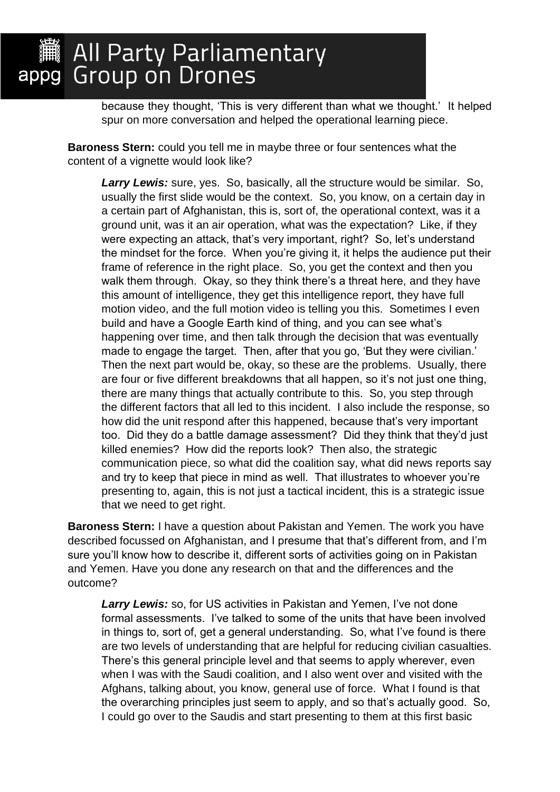because they thought, 'This is very different than what we thought.' It helped spur on more conversation and helped the operational learning piece.

**Baroness Stern:** could you tell me in maybe three or four sentences what the content of a vignette would look like?

*Larry Lewis:* sure, yes. So, basically, all the structure would be similar. So, usually the first slide would be the context. So, you know, on a certain day in a certain part of Afghanistan, this is, sort of, the operational context, was it a ground unit, was it an air operation, what was the expectation? Like, if they were expecting an attack, that's very important, right? So, let's understand the mindset for the force. When you're giving it, it helps the audience put their frame of reference in the right place. So, you get the context and then you walk them through. Okay, so they think there's a threat here, and they have this amount of intelligence, they get this intelligence report, they have full motion video, and the full motion video is telling you this. Sometimes I even build and have a Google Earth kind of thing, and you can see what's happening over time, and then talk through the decision that was eventually made to engage the target. Then, after that you go, 'But they were civilian.' Then the next part would be, okay, so these are the problems. Usually, there are four or five different breakdowns that all happen, so it's not just one thing, there are many things that actually contribute to this. So, you step through the different factors that all led to this incident. I also include the response, so how did the unit respond after this happened, because that's very important too. Did they do a battle damage assessment? Did they think that they'd just killed enemies? How did the reports look? Then also, the strategic communication piece, so what did the coalition say, what did news reports say and try to keep that piece in mind as well. That illustrates to whoever you're presenting to, again, this is not just a tactical incident, this is a strategic issue that we need to get right.

**Baroness Stern:** I have a question about Pakistan and Yemen. The work you have described focussed on Afghanistan, and I presume that that's different from, and I'm sure you'll know how to describe it, different sorts of activities going on in Pakistan and Yemen. Have you done any research on that and the differences and the outcome?

*Larry Lewis:* so, for US activities in Pakistan and Yemen, I've not done formal assessments. I've talked to some of the units that have been involved in things to, sort of, get a general understanding. So, what I've found is there are two levels of understanding that are helpful for reducing civilian casualties. There's this general principle level and that seems to apply wherever, even when I was with the Saudi coalition, and I also went over and visited with the Afghans, talking about, you know, general use of force. What I found is that the overarching principles just seem to apply, and so that's actually good. So, I could go over to the Saudis and start presenting to them at this first basic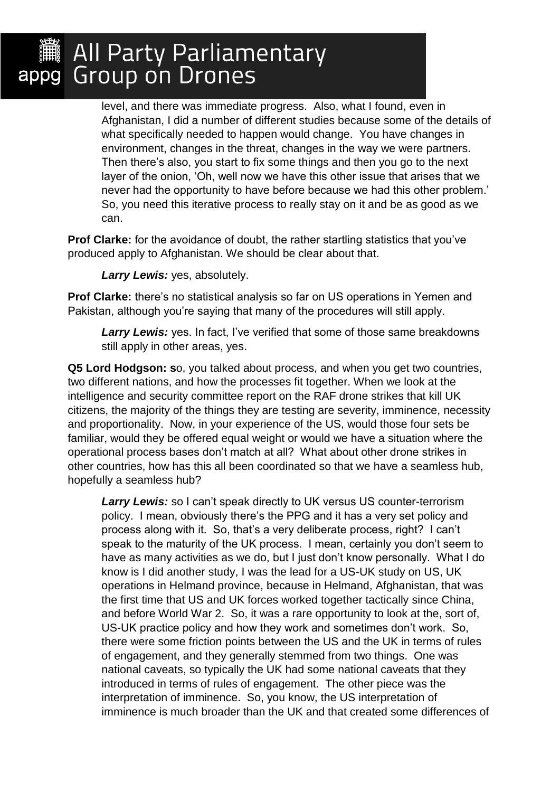level, and there was immediate progress. Also, what I found, even in Afghanistan, I did a number of different studies because some of the details of what specifically needed to happen would change. You have changes in environment, changes in the threat, changes in the way we were partners. Then there's also, you start to fix some things and then you go to the next layer of the onion, 'Oh, well now we have this other issue that arises that we never had the opportunity to have before because we had this other problem.' So, you need this iterative process to really stay on it and be as good as we can.

**Prof Clarke:** for the avoidance of doubt, the rather startling statistics that you've produced apply to Afghanistan. We should be clear about that.

*Larry Lewis:* yes, absolutely.

**Prof Clarke:** there's no statistical analysis so far on US operations in Yemen and Pakistan, although you're saying that many of the procedures will still apply.

*Larry Lewis:* yes. In fact, I've verified that some of those same breakdowns still apply in other areas, yes.

**Q5 Lord Hodgson: s**o, you talked about process, and when you get two countries, two different nations, and how the processes fit together. When we look at the intelligence and security committee report on the RAF drone strikes that kill UK citizens, the majority of the things they are testing are severity, imminence, necessity and proportionality. Now, in your experience of the US, would those four sets be familiar, would they be offered equal weight or would we have a situation where the operational process bases don't match at all? What about other drone strikes in other countries, how has this all been coordinated so that we have a seamless hub, hopefully a seamless hub?

*Larry Lewis:* so I can't speak directly to UK versus US counter-terrorism policy. I mean, obviously there's the PPG and it has a very set policy and process along with it. So, that's a very deliberate process, right? I can't speak to the maturity of the UK process. I mean, certainly you don't seem to have as many activities as we do, but I just don't know personally. What I do know is I did another study, I was the lead for a US-UK study on US, UK operations in Helmand province, because in Helmand, Afghanistan, that was the first time that US and UK forces worked together tactically since China, and before World War 2. So, it was a rare opportunity to look at the, sort of, US-UK practice policy and how they work and sometimes don't work. So, there were some friction points between the US and the UK in terms of rules of engagement, and they generally stemmed from two things. One was national caveats, so typically the UK had some national caveats that they introduced in terms of rules of engagement. The other piece was the interpretation of imminence. So, you know, the US interpretation of imminence is much broader than the UK and that created some differences of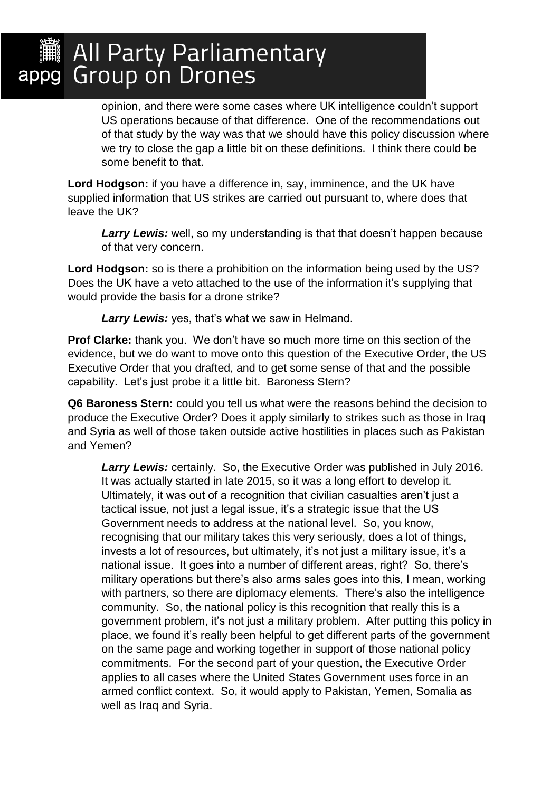opinion, and there were some cases where UK intelligence couldn't support US operations because of that difference. One of the recommendations out of that study by the way was that we should have this policy discussion where we try to close the gap a little bit on these definitions. I think there could be some benefit to that.

**Lord Hodgson:** if you have a difference in, say, imminence, and the UK have supplied information that US strikes are carried out pursuant to, where does that leave the UK?

Larry Lewis: well, so my understanding is that that doesn't happen because of that very concern.

**Lord Hodgson:** so is there a prohibition on the information being used by the US? Does the UK have a veto attached to the use of the information it's supplying that would provide the basis for a drone strike?

*Larry Lewis:* yes, that's what we saw in Helmand.

**Prof Clarke:** thank you. We don't have so much more time on this section of the evidence, but we do want to move onto this question of the Executive Order, the US Executive Order that you drafted, and to get some sense of that and the possible capability. Let's just probe it a little bit. Baroness Stern?

**Q6 Baroness Stern:** could you tell us what were the reasons behind the decision to produce the Executive Order? Does it apply similarly to strikes such as those in Iraq and Syria as well of those taken outside active hostilities in places such as Pakistan and Yemen?

*Larry Lewis:* certainly. So, the Executive Order was published in July 2016. It was actually started in late 2015, so it was a long effort to develop it. Ultimately, it was out of a recognition that civilian casualties aren't just a tactical issue, not just a legal issue, it's a strategic issue that the US Government needs to address at the national level. So, you know, recognising that our military takes this very seriously, does a lot of things, invests a lot of resources, but ultimately, it's not just a military issue, it's a national issue. It goes into a number of different areas, right? So, there's military operations but there's also arms sales goes into this, I mean, working with partners, so there are diplomacy elements. There's also the intelligence community. So, the national policy is this recognition that really this is a government problem, it's not just a military problem. After putting this policy in place, we found it's really been helpful to get different parts of the government on the same page and working together in support of those national policy commitments. For the second part of your question, the Executive Order applies to all cases where the United States Government uses force in an armed conflict context. So, it would apply to Pakistan, Yemen, Somalia as well as Iraq and Syria.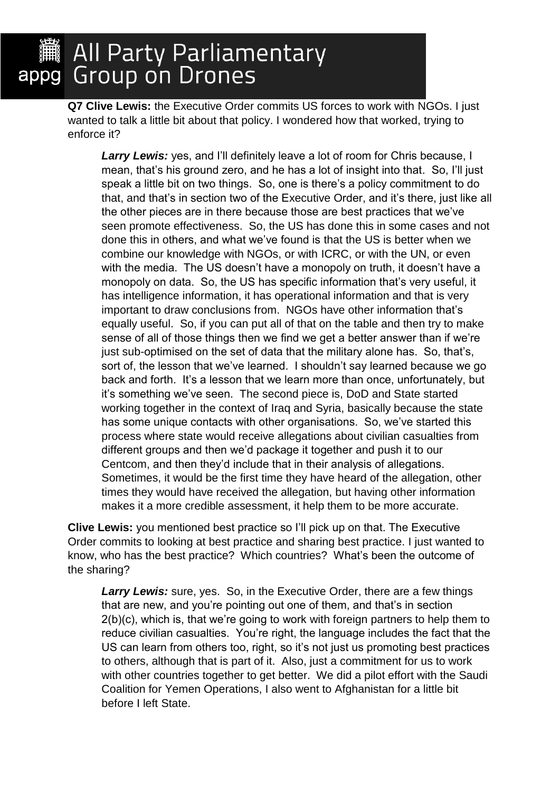**Q7 Clive Lewis:** the Executive Order commits US forces to work with NGOs. I just wanted to talk a little bit about that policy. I wondered how that worked, trying to enforce it?

**Larry Lewis:** yes, and I'll definitely leave a lot of room for Chris because, I mean, that's his ground zero, and he has a lot of insight into that. So, I'll just speak a little bit on two things. So, one is there's a policy commitment to do that, and that's in section two of the Executive Order, and it's there, just like all the other pieces are in there because those are best practices that we've seen promote effectiveness. So, the US has done this in some cases and not done this in others, and what we've found is that the US is better when we combine our knowledge with NGOs, or with ICRC, or with the UN, or even with the media. The US doesn't have a monopoly on truth, it doesn't have a monopoly on data. So, the US has specific information that's very useful, it has intelligence information, it has operational information and that is very important to draw conclusions from. NGOs have other information that's equally useful. So, if you can put all of that on the table and then try to make sense of all of those things then we find we get a better answer than if we're just sub-optimised on the set of data that the military alone has. So, that's, sort of, the lesson that we've learned. I shouldn't say learned because we go back and forth. It's a lesson that we learn more than once, unfortunately, but it's something we've seen. The second piece is, DoD and State started working together in the context of Iraq and Syria, basically because the state has some unique contacts with other organisations. So, we've started this process where state would receive allegations about civilian casualties from different groups and then we'd package it together and push it to our Centcom, and then they'd include that in their analysis of allegations. Sometimes, it would be the first time they have heard of the allegation, other times they would have received the allegation, but having other information makes it a more credible assessment, it help them to be more accurate.

**Clive Lewis:** you mentioned best practice so I'll pick up on that. The Executive Order commits to looking at best practice and sharing best practice. I just wanted to know, who has the best practice? Which countries? What's been the outcome of the sharing?

*Larry Lewis:* sure, yes. So, in the Executive Order, there are a few things that are new, and you're pointing out one of them, and that's in section 2(b)(c), which is, that we're going to work with foreign partners to help them to reduce civilian casualties. You're right, the language includes the fact that the US can learn from others too, right, so it's not just us promoting best practices to others, although that is part of it. Also, just a commitment for us to work with other countries together to get better. We did a pilot effort with the Saudi Coalition for Yemen Operations, I also went to Afghanistan for a little bit before I left State.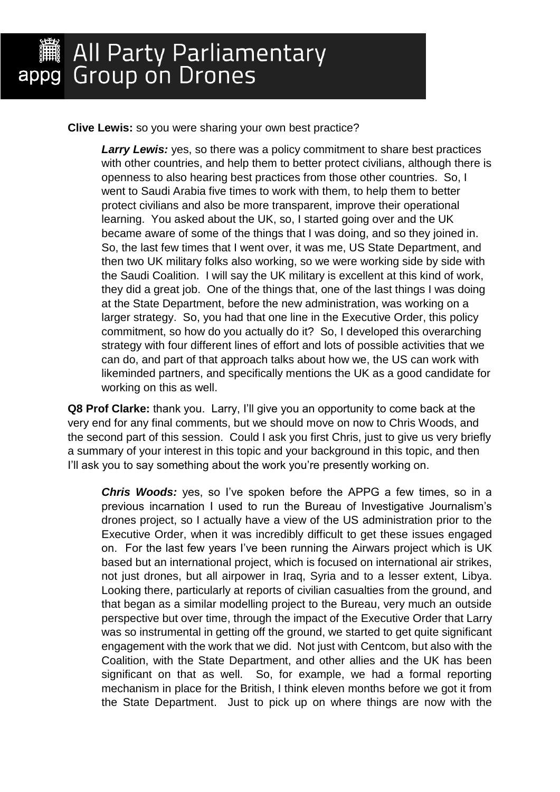**Clive Lewis:** so you were sharing your own best practice?

**Larry Lewis:** yes, so there was a policy commitment to share best practices with other countries, and help them to better protect civilians, although there is openness to also hearing best practices from those other countries. So, I went to Saudi Arabia five times to work with them, to help them to better protect civilians and also be more transparent, improve their operational learning. You asked about the UK, so, I started going over and the UK became aware of some of the things that I was doing, and so they joined in. So, the last few times that I went over, it was me, US State Department, and then two UK military folks also working, so we were working side by side with the Saudi Coalition. I will say the UK military is excellent at this kind of work, they did a great job. One of the things that, one of the last things I was doing at the State Department, before the new administration, was working on a larger strategy. So, you had that one line in the Executive Order, this policy commitment, so how do you actually do it? So, I developed this overarching strategy with four different lines of effort and lots of possible activities that we can do, and part of that approach talks about how we, the US can work with likeminded partners, and specifically mentions the UK as a good candidate for working on this as well.

**Q8 Prof Clarke:** thank you. Larry, I'll give you an opportunity to come back at the very end for any final comments, but we should move on now to Chris Woods, and the second part of this session. Could I ask you first Chris, just to give us very briefly a summary of your interest in this topic and your background in this topic, and then I'll ask you to say something about the work you're presently working on.

*Chris Woods:* yes, so I've spoken before the APPG a few times, so in a previous incarnation I used to run the Bureau of Investigative Journalism's drones project, so I actually have a view of the US administration prior to the Executive Order, when it was incredibly difficult to get these issues engaged on. For the last few years I've been running the Airwars project which is UK based but an international project, which is focused on international air strikes, not just drones, but all airpower in Iraq, Syria and to a lesser extent, Libya. Looking there, particularly at reports of civilian casualties from the ground, and that began as a similar modelling project to the Bureau, very much an outside perspective but over time, through the impact of the Executive Order that Larry was so instrumental in getting off the ground, we started to get quite significant engagement with the work that we did. Not just with Centcom, but also with the Coalition, with the State Department, and other allies and the UK has been significant on that as well. So, for example, we had a formal reporting mechanism in place for the British, I think eleven months before we got it from the State Department. Just to pick up on where things are now with the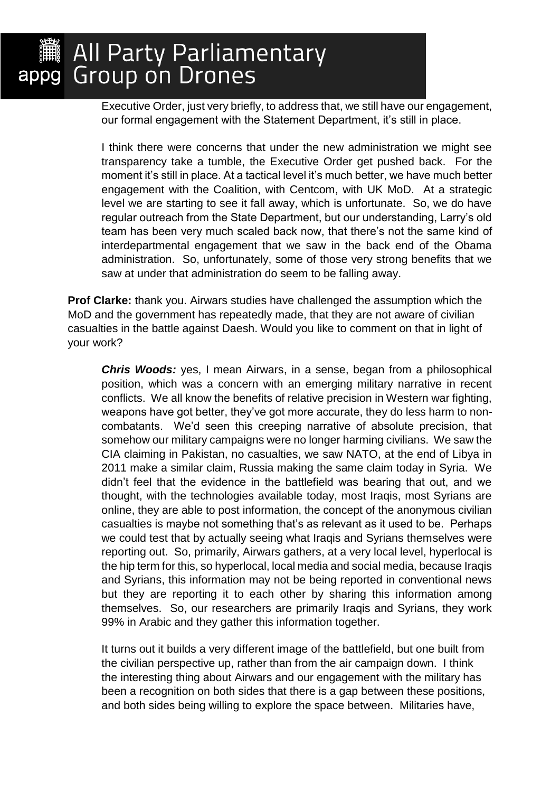Executive Order, just very briefly, to address that, we still have our engagement, our formal engagement with the Statement Department, it's still in place.

I think there were concerns that under the new administration we might see transparency take a tumble, the Executive Order get pushed back. For the moment it's still in place. At a tactical level it's much better, we have much better engagement with the Coalition, with Centcom, with UK MoD. At a strategic level we are starting to see it fall away, which is unfortunate. So, we do have regular outreach from the State Department, but our understanding, Larry's old team has been very much scaled back now, that there's not the same kind of interdepartmental engagement that we saw in the back end of the Obama administration. So, unfortunately, some of those very strong benefits that we saw at under that administration do seem to be falling away.

**Prof Clarke:** thank you. Airwars studies have challenged the assumption which the MoD and the government has repeatedly made, that they are not aware of civilian casualties in the battle against Daesh. Would you like to comment on that in light of your work?

*Chris Woods:* yes, I mean Airwars, in a sense, began from a philosophical position, which was a concern with an emerging military narrative in recent conflicts. We all know the benefits of relative precision in Western war fighting, weapons have got better, they've got more accurate, they do less harm to noncombatants. We'd seen this creeping narrative of absolute precision, that somehow our military campaigns were no longer harming civilians. We saw the CIA claiming in Pakistan, no casualties, we saw NATO, at the end of Libya in 2011 make a similar claim, Russia making the same claim today in Syria. We didn't feel that the evidence in the battlefield was bearing that out, and we thought, with the technologies available today, most Iraqis, most Syrians are online, they are able to post information, the concept of the anonymous civilian casualties is maybe not something that's as relevant as it used to be. Perhaps we could test that by actually seeing what Iraqis and Syrians themselves were reporting out. So, primarily, Airwars gathers, at a very local level, hyperlocal is the hip term for this, so hyperlocal, local media and social media, because Iraqis and Syrians, this information may not be being reported in conventional news but they are reporting it to each other by sharing this information among themselves. So, our researchers are primarily Iraqis and Syrians, they work 99% in Arabic and they gather this information together.

It turns out it builds a very different image of the battlefield, but one built from the civilian perspective up, rather than from the air campaign down. I think the interesting thing about Airwars and our engagement with the military has been a recognition on both sides that there is a gap between these positions, and both sides being willing to explore the space between. Militaries have,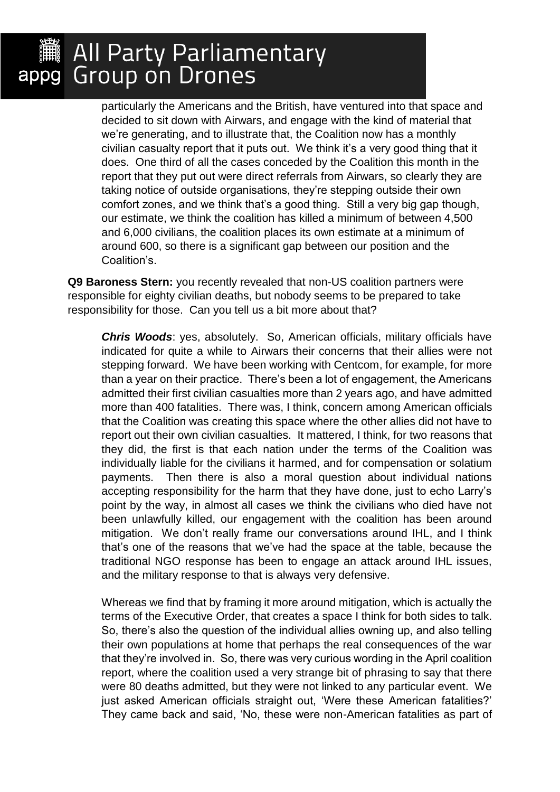particularly the Americans and the British, have ventured into that space and decided to sit down with Airwars, and engage with the kind of material that we're generating, and to illustrate that, the Coalition now has a monthly civilian casualty report that it puts out. We think it's a very good thing that it does. One third of all the cases conceded by the Coalition this month in the report that they put out were direct referrals from Airwars, so clearly they are taking notice of outside organisations, they're stepping outside their own comfort zones, and we think that's a good thing. Still a very big gap though, our estimate, we think the coalition has killed a minimum of between 4,500 and 6,000 civilians, the coalition places its own estimate at a minimum of around 600, so there is a significant gap between our position and the Coalition's.

**Q9 Baroness Stern:** you recently revealed that non-US coalition partners were responsible for eighty civilian deaths, but nobody seems to be prepared to take responsibility for those. Can you tell us a bit more about that?

*Chris Woods*: yes, absolutely. So, American officials, military officials have indicated for quite a while to Airwars their concerns that their allies were not stepping forward. We have been working with Centcom, for example, for more than a year on their practice. There's been a lot of engagement, the Americans admitted their first civilian casualties more than 2 years ago, and have admitted more than 400 fatalities. There was, I think, concern among American officials that the Coalition was creating this space where the other allies did not have to report out their own civilian casualties. It mattered, I think, for two reasons that they did, the first is that each nation under the terms of the Coalition was individually liable for the civilians it harmed, and for compensation or solatium payments. Then there is also a moral question about individual nations accepting responsibility for the harm that they have done, just to echo Larry's point by the way, in almost all cases we think the civilians who died have not been unlawfully killed, our engagement with the coalition has been around mitigation. We don't really frame our conversations around IHL, and I think that's one of the reasons that we've had the space at the table, because the traditional NGO response has been to engage an attack around IHL issues, and the military response to that is always very defensive.

Whereas we find that by framing it more around mitigation, which is actually the terms of the Executive Order, that creates a space I think for both sides to talk. So, there's also the question of the individual allies owning up, and also telling their own populations at home that perhaps the real consequences of the war that they're involved in. So, there was very curious wording in the April coalition report, where the coalition used a very strange bit of phrasing to say that there were 80 deaths admitted, but they were not linked to any particular event. We just asked American officials straight out, 'Were these American fatalities?' They came back and said, 'No, these were non-American fatalities as part of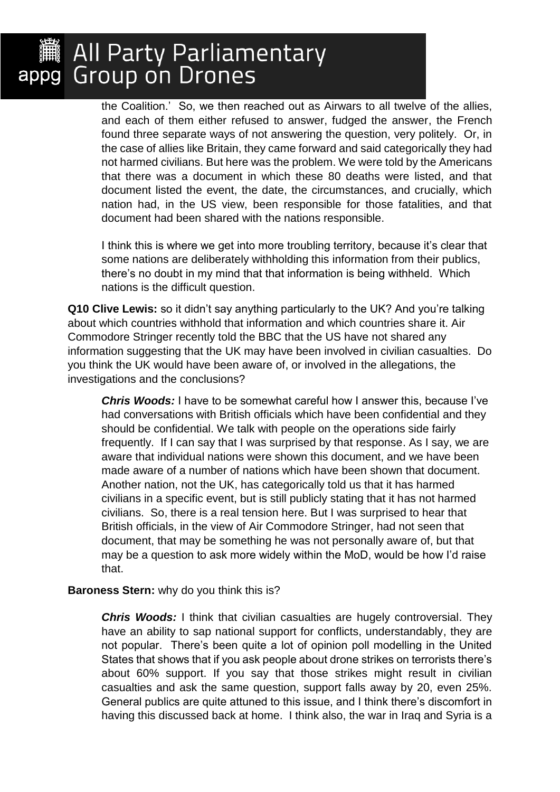# appg Group on Drones

the Coalition.' So, we then reached out as Airwars to all twelve of the allies, and each of them either refused to answer, fudged the answer, the French found three separate ways of not answering the question, very politely. Or, in the case of allies like Britain, they came forward and said categorically they had not harmed civilians. But here was the problem. We were told by the Americans that there was a document in which these 80 deaths were listed, and that document listed the event, the date, the circumstances, and crucially, which nation had, in the US view, been responsible for those fatalities, and that document had been shared with the nations responsible.

I think this is where we get into more troubling territory, because it's clear that some nations are deliberately withholding this information from their publics, there's no doubt in my mind that that information is being withheld. Which nations is the difficult question.

**Q10 Clive Lewis:** so it didn't say anything particularly to the UK? And you're talking about which countries withhold that information and which countries share it. Air Commodore Stringer recently told the BBC that the US have not shared any information suggesting that the UK may have been involved in civilian casualties. Do you think the UK would have been aware of, or involved in the allegations, the investigations and the conclusions?

*Chris Woods:* I have to be somewhat careful how I answer this, because I've had conversations with British officials which have been confidential and they should be confidential. We talk with people on the operations side fairly frequently. If I can say that I was surprised by that response. As I say, we are aware that individual nations were shown this document, and we have been made aware of a number of nations which have been shown that document. Another nation, not the UK, has categorically told us that it has harmed civilians in a specific event, but is still publicly stating that it has not harmed civilians. So, there is a real tension here. But I was surprised to hear that British officials, in the view of Air Commodore Stringer, had not seen that document, that may be something he was not personally aware of, but that may be a question to ask more widely within the MoD, would be how I'd raise that.

#### **Baroness Stern:** why do you think this is?

*Chris Woods:* I think that civilian casualties are hugely controversial. They have an ability to sap national support for conflicts, understandably, they are not popular. There's been quite a lot of opinion poll modelling in the United States that shows that if you ask people about drone strikes on terrorists there's about 60% support. If you say that those strikes might result in civilian casualties and ask the same question, support falls away by 20, even 25%. General publics are quite attuned to this issue, and I think there's discomfort in having this discussed back at home. I think also, the war in Iraq and Syria is a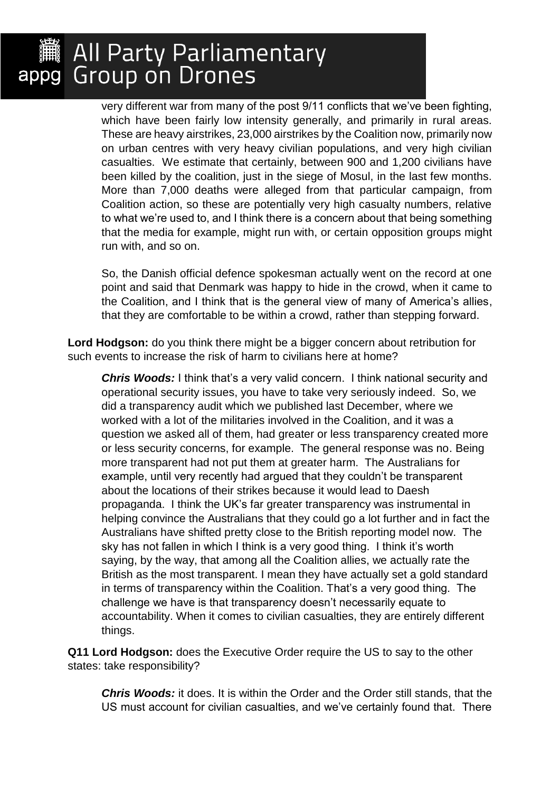very different war from many of the post 9/11 conflicts that we've been fighting, which have been fairly low intensity generally, and primarily in rural areas. These are heavy airstrikes, 23,000 airstrikes by the Coalition now, primarily now on urban centres with very heavy civilian populations, and very high civilian casualties. We estimate that certainly, between 900 and 1,200 civilians have been killed by the coalition, just in the siege of Mosul, in the last few months. More than 7,000 deaths were alleged from that particular campaign, from Coalition action, so these are potentially very high casualty numbers, relative to what we're used to, and I think there is a concern about that being something that the media for example, might run with, or certain opposition groups might run with, and so on.

So, the Danish official defence spokesman actually went on the record at one point and said that Denmark was happy to hide in the crowd, when it came to the Coalition, and I think that is the general view of many of America's allies, that they are comfortable to be within a crowd, rather than stepping forward.

**Lord Hodgson:** do you think there might be a bigger concern about retribution for such events to increase the risk of harm to civilians here at home?

**Chris Woods:** I think that's a very valid concern. I think national security and operational security issues, you have to take very seriously indeed. So, we did a transparency audit which we published last December, where we worked with a lot of the militaries involved in the Coalition, and it was a question we asked all of them, had greater or less transparency created more or less security concerns, for example. The general response was no. Being more transparent had not put them at greater harm. The Australians for example, until very recently had argued that they couldn't be transparent about the locations of their strikes because it would lead to Daesh propaganda. I think the UK's far greater transparency was instrumental in helping convince the Australians that they could go a lot further and in fact the Australians have shifted pretty close to the British reporting model now. The sky has not fallen in which I think is a very good thing. I think it's worth saying, by the way, that among all the Coalition allies, we actually rate the British as the most transparent. I mean they have actually set a gold standard in terms of transparency within the Coalition. That's a very good thing. The challenge we have is that transparency doesn't necessarily equate to accountability. When it comes to civilian casualties, they are entirely different things.

**Q11 Lord Hodgson:** does the Executive Order require the US to say to the other states: take responsibility?

*Chris Woods:* it does. It is within the Order and the Order still stands, that the US must account for civilian casualties, and we've certainly found that. There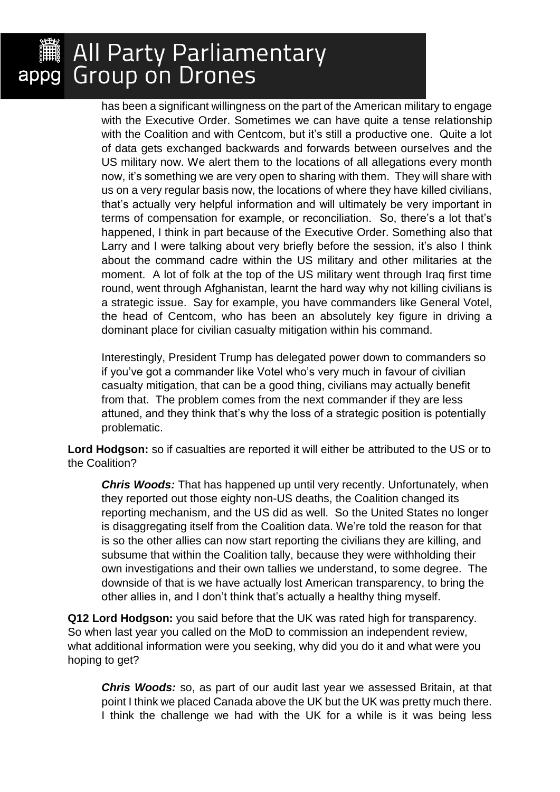has been a significant willingness on the part of the American military to engage with the Executive Order. Sometimes we can have quite a tense relationship with the Coalition and with Centcom, but it's still a productive one. Quite a lot of data gets exchanged backwards and forwards between ourselves and the US military now. We alert them to the locations of all allegations every month now, it's something we are very open to sharing with them. They will share with us on a very regular basis now, the locations of where they have killed civilians, that's actually very helpful information and will ultimately be very important in terms of compensation for example, or reconciliation. So, there's a lot that's happened, I think in part because of the Executive Order. Something also that Larry and I were talking about very briefly before the session, it's also I think about the command cadre within the US military and other militaries at the moment. A lot of folk at the top of the US military went through Iraq first time round, went through Afghanistan, learnt the hard way why not killing civilians is a strategic issue. Say for example, you have commanders like General Votel, the head of Centcom, who has been an absolutely key figure in driving a dominant place for civilian casualty mitigation within his command.

Interestingly, President Trump has delegated power down to commanders so if you've got a commander like Votel who's very much in favour of civilian casualty mitigation, that can be a good thing, civilians may actually benefit from that. The problem comes from the next commander if they are less attuned, and they think that's why the loss of a strategic position is potentially problematic.

**Lord Hodgson:** so if casualties are reported it will either be attributed to the US or to the Coalition?

*Chris Woods:* That has happened up until very recently. Unfortunately, when they reported out those eighty non-US deaths, the Coalition changed its reporting mechanism, and the US did as well. So the United States no longer is disaggregating itself from the Coalition data. We're told the reason for that is so the other allies can now start reporting the civilians they are killing, and subsume that within the Coalition tally, because they were withholding their own investigations and their own tallies we understand, to some degree. The downside of that is we have actually lost American transparency, to bring the other allies in, and I don't think that's actually a healthy thing myself.

**Q12 Lord Hodgson:** you said before that the UK was rated high for transparency. So when last year you called on the MoD to commission an independent review, what additional information were you seeking, why did you do it and what were you hoping to get?

*Chris Woods:* so, as part of our audit last year we assessed Britain, at that point I think we placed Canada above the UK but the UK was pretty much there. I think the challenge we had with the UK for a while is it was being less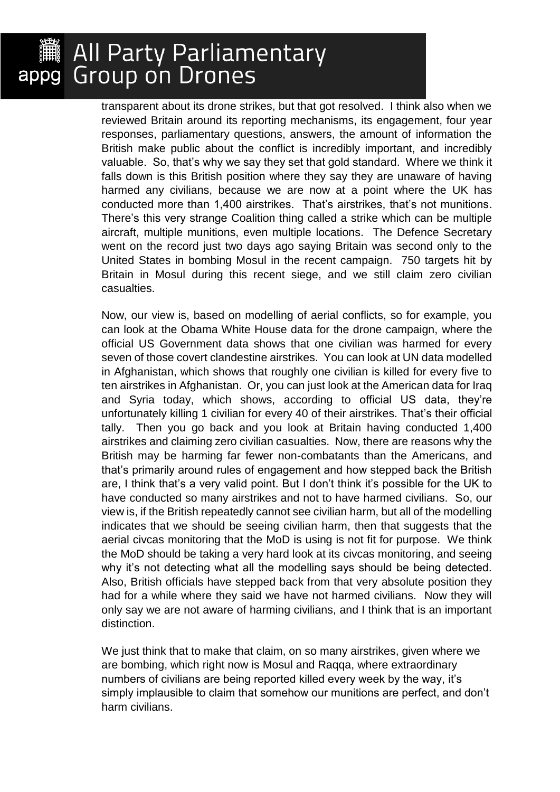transparent about its drone strikes, but that got resolved. I think also when we reviewed Britain around its reporting mechanisms, its engagement, four year responses, parliamentary questions, answers, the amount of information the British make public about the conflict is incredibly important, and incredibly valuable. So, that's why we say they set that gold standard. Where we think it falls down is this British position where they say they are unaware of having harmed any civilians, because we are now at a point where the UK has conducted more than 1,400 airstrikes. That's airstrikes, that's not munitions. There's this very strange Coalition thing called a strike which can be multiple aircraft, multiple munitions, even multiple locations. The Defence Secretary went on the record just two days ago saying Britain was second only to the United States in bombing Mosul in the recent campaign. 750 targets hit by Britain in Mosul during this recent siege, and we still claim zero civilian casualties.

Now, our view is, based on modelling of aerial conflicts, so for example, you can look at the Obama White House data for the drone campaign, where the official US Government data shows that one civilian was harmed for every seven of those covert clandestine airstrikes. You can look at UN data modelled in Afghanistan, which shows that roughly one civilian is killed for every five to ten airstrikes in Afghanistan. Or, you can just look at the American data for Iraq and Syria today, which shows, according to official US data, they're unfortunately killing 1 civilian for every 40 of their airstrikes. That's their official tally. Then you go back and you look at Britain having conducted 1,400 airstrikes and claiming zero civilian casualties. Now, there are reasons why the British may be harming far fewer non-combatants than the Americans, and that's primarily around rules of engagement and how stepped back the British are, I think that's a very valid point. But I don't think it's possible for the UK to have conducted so many airstrikes and not to have harmed civilians. So, our view is, if the British repeatedly cannot see civilian harm, but all of the modelling indicates that we should be seeing civilian harm, then that suggests that the aerial civcas monitoring that the MoD is using is not fit for purpose. We think the MoD should be taking a very hard look at its civcas monitoring, and seeing why it's not detecting what all the modelling says should be being detected. Also, British officials have stepped back from that very absolute position they had for a while where they said we have not harmed civilians. Now they will only say we are not aware of harming civilians, and I think that is an important distinction.

We just think that to make that claim, on so many airstrikes, given where we are bombing, which right now is Mosul and Raqqa, where extraordinary numbers of civilians are being reported killed every week by the way, it's simply implausible to claim that somehow our munitions are perfect, and don't harm civilians.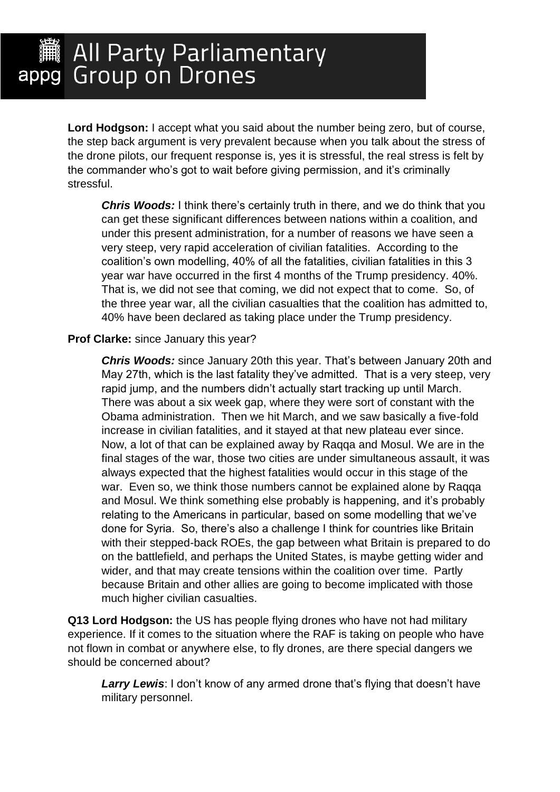**Lord Hodgson:** I accept what you said about the number being zero, but of course, the step back argument is very prevalent because when you talk about the stress of the drone pilots, our frequent response is, yes it is stressful, the real stress is felt by the commander who's got to wait before giving permission, and it's criminally stressful.

*Chris Woods:* I think there's certainly truth in there, and we do think that you can get these significant differences between nations within a coalition, and under this present administration, for a number of reasons we have seen a very steep, very rapid acceleration of civilian fatalities. According to the coalition's own modelling, 40% of all the fatalities, civilian fatalities in this 3 year war have occurred in the first 4 months of the Trump presidency. 40%. That is, we did not see that coming, we did not expect that to come. So, of the three year war, all the civilian casualties that the coalition has admitted to, 40% have been declared as taking place under the Trump presidency.

#### **Prof Clarke:** since January this year?

*Chris Woods:* since January 20th this year. That's between January 20th and May 27th, which is the last fatality they've admitted. That is a very steep, very rapid jump, and the numbers didn't actually start tracking up until March. There was about a six week gap, where they were sort of constant with the Obama administration. Then we hit March, and we saw basically a five-fold increase in civilian fatalities, and it stayed at that new plateau ever since. Now, a lot of that can be explained away by Raqqa and Mosul. We are in the final stages of the war, those two cities are under simultaneous assault, it was always expected that the highest fatalities would occur in this stage of the war. Even so, we think those numbers cannot be explained alone by Raqqa and Mosul. We think something else probably is happening, and it's probably relating to the Americans in particular, based on some modelling that we've done for Syria. So, there's also a challenge I think for countries like Britain with their stepped-back ROEs, the gap between what Britain is prepared to do on the battlefield, and perhaps the United States, is maybe getting wider and wider, and that may create tensions within the coalition over time. Partly because Britain and other allies are going to become implicated with those much higher civilian casualties.

**Q13 Lord Hodgson:** the US has people flying drones who have not had military experience. If it comes to the situation where the RAF is taking on people who have not flown in combat or anywhere else, to fly drones, are there special dangers we should be concerned about?

**Larry Lewis:** I don't know of any armed drone that's flying that doesn't have military personnel.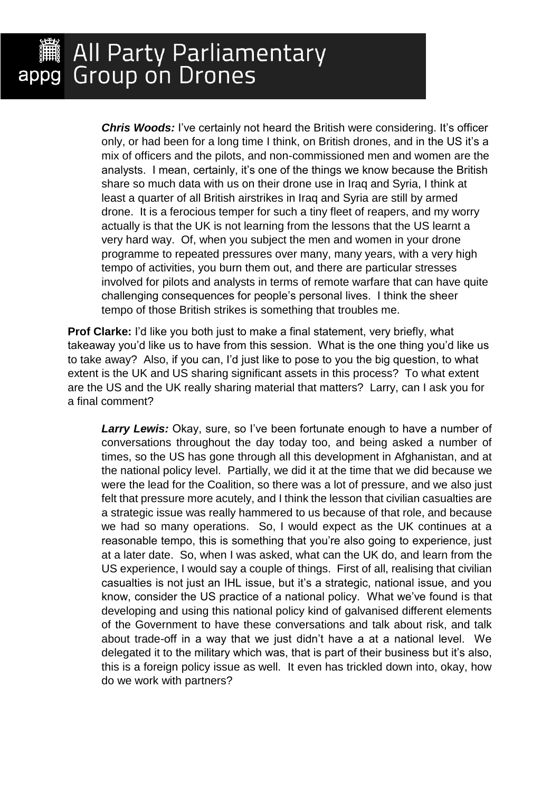*Chris Woods:* I've certainly not heard the British were considering. It's officer only, or had been for a long time I think, on British drones, and in the US it's a mix of officers and the pilots, and non-commissioned men and women are the analysts. I mean, certainly, it's one of the things we know because the British share so much data with us on their drone use in Iraq and Syria, I think at least a quarter of all British airstrikes in Iraq and Syria are still by armed drone. It is a ferocious temper for such a tiny fleet of reapers, and my worry actually is that the UK is not learning from the lessons that the US learnt a very hard way. Of, when you subject the men and women in your drone programme to repeated pressures over many, many years, with a very high tempo of activities, you burn them out, and there are particular stresses involved for pilots and analysts in terms of remote warfare that can have quite challenging consequences for people's personal lives. I think the sheer tempo of those British strikes is something that troubles me.

**Prof Clarke:** I'd like you both just to make a final statement, very briefly, what takeaway you'd like us to have from this session. What is the one thing you'd like us to take away? Also, if you can, I'd just like to pose to you the big question, to what extent is the UK and US sharing significant assets in this process? To what extent are the US and the UK really sharing material that matters? Larry, can I ask you for a final comment?

*Larry Lewis:* Okay, sure, so I've been fortunate enough to have a number of conversations throughout the day today too, and being asked a number of times, so the US has gone through all this development in Afghanistan, and at the national policy level. Partially, we did it at the time that we did because we were the lead for the Coalition, so there was a lot of pressure, and we also just felt that pressure more acutely, and I think the lesson that civilian casualties are a strategic issue was really hammered to us because of that role, and because we had so many operations. So, I would expect as the UK continues at a reasonable tempo, this is something that you're also going to experience, just at a later date. So, when I was asked, what can the UK do, and learn from the US experience, I would say a couple of things. First of all, realising that civilian casualties is not just an IHL issue, but it's a strategic, national issue, and you know, consider the US practice of a national policy. What we've found is that developing and using this national policy kind of galvanised different elements of the Government to have these conversations and talk about risk, and talk about trade-off in a way that we just didn't have a at a national level. We delegated it to the military which was, that is part of their business but it's also, this is a foreign policy issue as well. It even has trickled down into, okay, how do we work with partners?